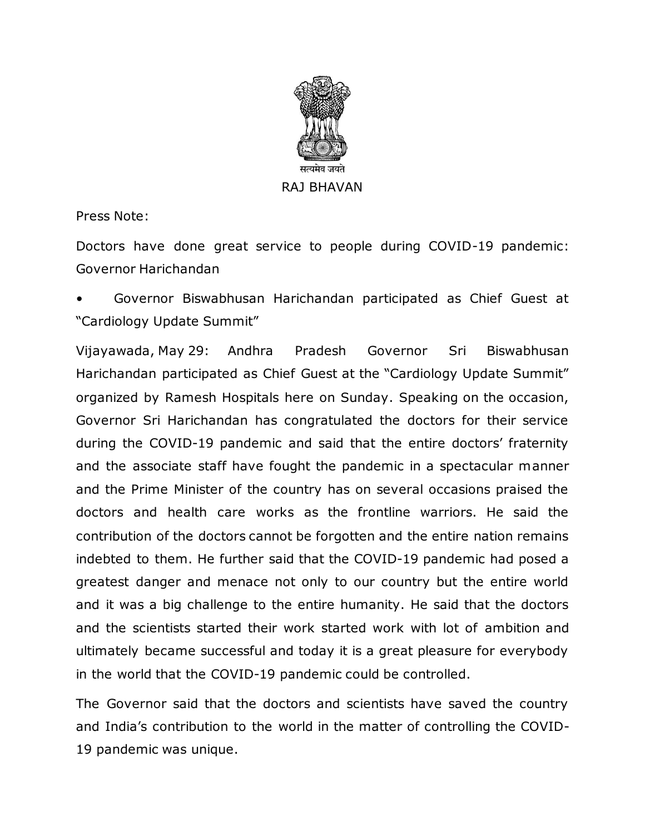

Press Note:

Doctors have done great service to people during COVID-19 pandemic: Governor Harichandan

• Governor Biswabhusan Harichandan participated as Chief Guest at "Cardiology Update Summit"

Vijayawada, May 29: Andhra Pradesh Governor Sri Biswabhusan Harichandan participated as Chief Guest at the "Cardiology Update Summit" organized by Ramesh Hospitals here on Sunday. Speaking on the occasion, Governor Sri Harichandan has congratulated the doctors for their service during the COVID-19 pandemic and said that the entire doctors' fraternity and the associate staff have fought the pandemic in a spectacular manner and the Prime Minister of the country has on several occasions praised the doctors and health care works as the frontline warriors. He said the contribution of the doctors cannot be forgotten and the entire nation remains indebted to them. He further said that the COVID-19 pandemic had posed a greatest danger and menace not only to our country but the entire world and it was a big challenge to the entire humanity. He said that the doctors and the scientists started their work started work with lot of ambition and ultimately became successful and today it is a great pleasure for everybody in the world that the COVID-19 pandemic could be controlled.

The Governor said that the doctors and scientists have saved the country and India's contribution to the world in the matter of controlling the COVID-19 pandemic was unique.